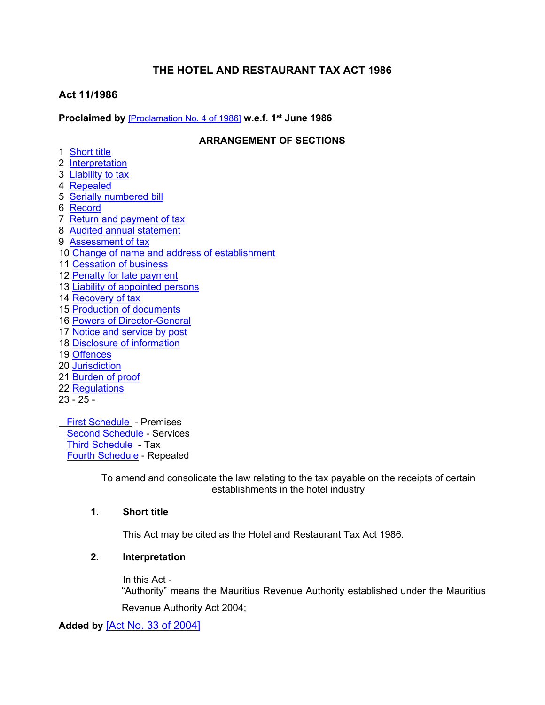# **THE HOTEL AND RESTAURANT TAX ACT 1986**

# **Act 11/1986**

**Proclaimed by** [\[Proclamation](https://supremecourt.govmu.org/_layouts/CLIS.DMS/search/searchdocumentbykey.aspx?ID=%5BProclamation%20No.%204%20of%201986%5D&list=Legislations) No. 4 of 1986] **w.e.f. 1 st June 1986**

## **ARRANGEMENT OF SECTIONS**

- 1 [Short](#page-0-0) title
- 2 [Interpretation](#page-0-1)
- 3 [Liability](#page-2-0) to tax
- 4 [Repealed](#page-2-1)
- 5 Serially [numbered](#page-2-2) bill
- 6 [Record](#page-2-3)
- 7 Return and [payment](#page-2-4) of tax
- 8 Audited annual [statement](#page-3-0)
- 9 [Assessment](#page-3-1) of tax
- 10 Change of name and address of [establishment](#page-4-0)
- 11 [Cessation](#page-4-1) of business
- 12 Penalty for late [payment](#page-4-2)
- 13 Liability of [appointed](#page-5-0) persons
- 14 [Recovery](#page-5-1) of tax
- 15 Production of [documents](#page-5-2)
- 16 Powers of Director-General
- 17 Notice and [service](#page-6-0) by post
- 18 Disclosure of [information](#page-6-1)
- 19 [Offences](#page-7-0)
- 20 [Jurisdiction](#page-7-1)
- 21 [Burden](#page-7-1) of proof
- 22 [Regulations](#page-7-2)
- 23 25 -

 First [Schedule](#page-7-3) - Premises Second [Schedule](#page-8-0) - Services Third [Schedule](#page-8-1) - Tax Fourth [Schedule](#page-8-2) - Repealed

> To amend and consolidate the law relating to the tax payable on the receipts of certain establishments in the hotel industry

# **1. Short title**

<span id="page-0-1"></span><span id="page-0-0"></span>This Act may be cited as the Hotel and Restaurant Tax Act 1986.

# **2. Interpretation**

In this Act - "Authority" means the Mauritius Revenue Authority established under the Mauritius Revenue Authority Act 2004;

## **Added by** [Act No. 33 of [2004\]](https://supremecourt.govmu.org/_layouts/CLIS.DMS/search/searchdocumentbykey.aspx?ID=%5BAct%20No.%2033%20of%202004%5D&list=Legislations)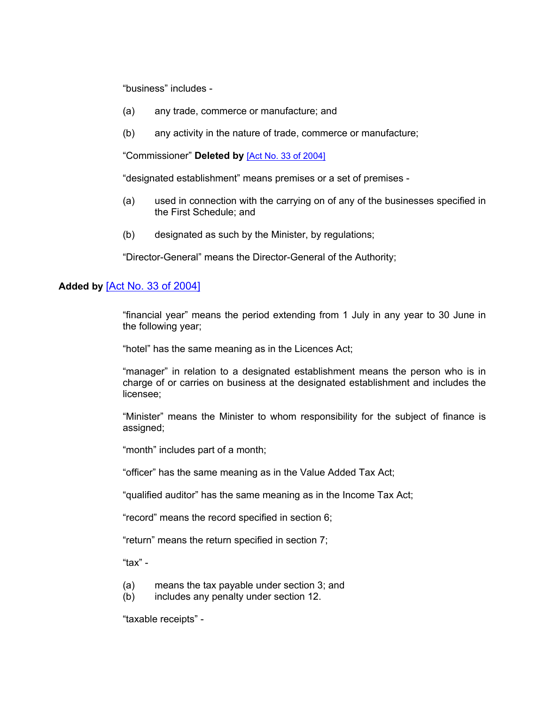"business" includes -

- (a) any trade, commerce or manufacture; and
- (b) any activity in the nature of trade, commerce or manufacture;

"Commissioner" **Deleted by** [Act No. 33 of [2004\]](https://supremecourt.govmu.org/_layouts/CLIS.DMS/search/searchdocumentbykey.aspx?ID=%5BAct%20No.%2033%20of%202004%5D&list=Legislations)

"designated establishment" means premises or a set of premises -

- (a) used in connection with the carrying on of any of the businesses specified in the First Schedule; and
- (b) designated as such by the Minister, by regulations;

"Director-General" means the Director-General of the Authority;

#### **Added by** [Act No. 33 of [2004\]](https://supremecourt.govmu.org/_layouts/CLIS.DMS/search/searchdocumentbykey.aspx?ID=%5BAct%20No.%2033%20of%202004%5D&list=Legislations)

"financial year" means the period extending from 1 July in any year to 30 June in the following year;

"hotel" has the same meaning as in the Licences Act;

"manager" in relation to a designated establishment means the person who is in charge of or carries on business at the designated establishment and includes the licensee;

"Minister" means the Minister to whom responsibility for the subject of finance is assigned;

"month" includes part of a month;

"officer" has the same meaning as in the Value Added Tax Act;

"qualified auditor" has the same meaning as in the Income Tax Act;

"record" means the record specified in section 6;

"return" means the return specified in section 7;

"tax" -

- (a) means the tax payable under section 3; and
- (b) includes any penalty under section 12.

"taxable receipts" -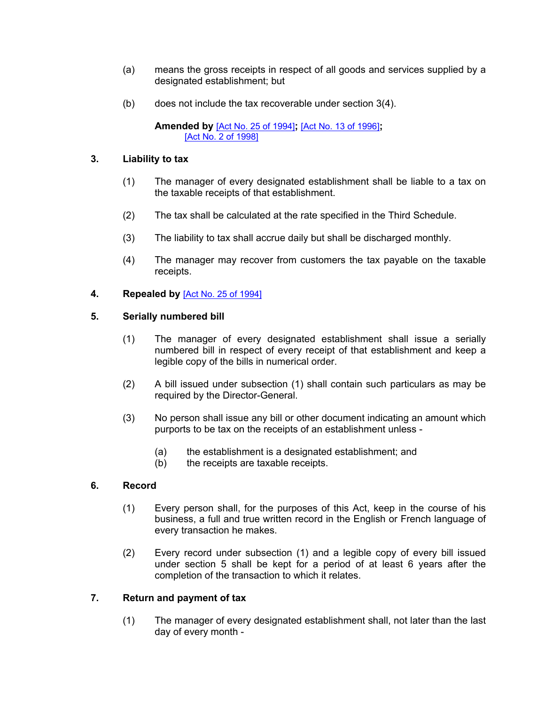- (a) means the gross receipts in respect of all goods and services supplied by a designated establishment; but
- (b) does not include the tax recoverable under section 3(4).

#### **Amended by** [Act No. 25 of [1994\]](https://supremecourt.govmu.org/_layouts/CLIS.DMS/search/searchdocumentbykey.aspx?ID=%5BAct%20No.%2025%20of%201994%5D&list=Legislations)**;** [Act No. 13 of [1996\]](https://supremecourt.govmu.org/_layouts/CLIS.DMS/search/searchdocumentbykey.aspx?ID=%5BAct%20No.%2013%20of%201996%5D&list=Legislations)**;** [Act No. 2 of [1998\]](https://supremecourt.govmu.org/_layouts/CLIS.DMS/search/searchdocumentbykey.aspx?ID=%5BAct%20No.%202%20of%201998%5D&list=Legislations)

## **3. Liability to tax**

- <span id="page-2-0"></span>(1) The manager of every designated establishment shall be liable to a tax on the taxable receipts of that establishment.
- (2) The tax shall be calculated at the rate specified in the Third Schedule.
- (3) The liability to tax shall accrue daily but shall be discharged monthly.
- <span id="page-2-1"></span>(4) The manager may recover from customers the tax payable on the taxable receipts.

## **4. Repealed by** [Act No. 25 of [1994\]](https://supremecourt.govmu.org/_layouts/CLIS.DMS/search/searchdocumentbykey.aspx?ID=%5BAct%20No.%2025%20of%201994%5D&list=Legislations)

## **5. Serially numbered bill**

- <span id="page-2-2"></span>(1) The manager of every designated establishment shall issue a serially numbered bill in respect of every receipt of that establishment and keep a legible copy of the bills in numerical order.
- (2) A bill issued under subsection (1) shall contain such particulars as may be required by the Director-General.
- (3) No person shall issue any bill or other document indicating an amount which purports to be tax on the receipts of an establishment unless -
	- (a) the establishment is a designated establishment; and
	- (b) the receipts are taxable receipts.

# **6. Record**

- <span id="page-2-3"></span>(1) Every person shall, for the purposes of this Act, keep in the course of his business, a full and true written record in the English or French language of every transaction he makes.
- (2) Every record under subsection (1) and a legible copy of every bill issued under section 5 shall be kept for a period of at least 6 years after the completion of the transaction to which it relates.

# **7. Return and payment of tax**

<span id="page-2-4"></span>(1) The manager of every designated establishment shall, not later than the last day of every month -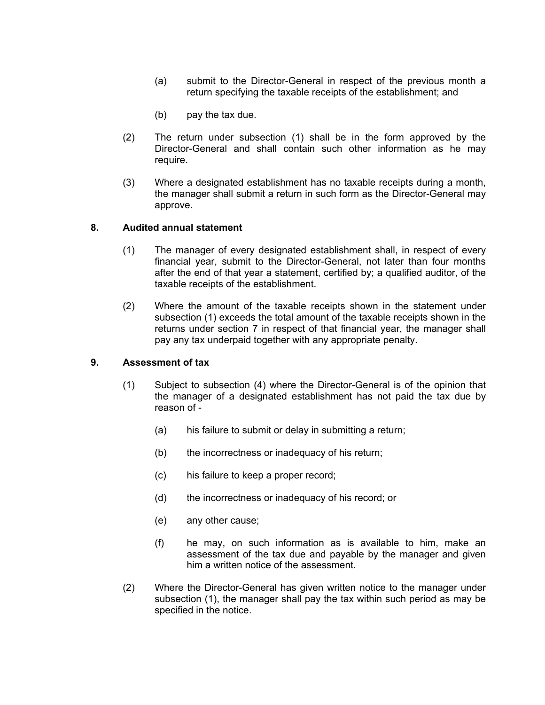- (a) submit to the Director-General in respect of the previous month a return specifying the taxable receipts of the establishment; and
- (b) pay the tax due.
- (2) The return under subsection (1) shall be in the form approved by the Director-General and shall contain such other information as he may require.
- (3) Where a designated establishment has no taxable receipts during a month, the manager shall submit a return in such form as the Director-General may approve.

#### **8. Audited annual statement**

- <span id="page-3-0"></span>(1) The manager of every designated establishment shall, in respect of every financial year, submit to the Director-General, not later than four months after the end of that year a statement, certified by; a qualified auditor, of the taxable receipts of the establishment.
- (2) Where the amount of the taxable receipts shown in the statement under subsection (1) exceeds the total amount of the taxable receipts shown in the returns under section 7 in respect of that financial year, the manager shall pay any tax underpaid together with any appropriate penalty.

#### **9. Assessment of tax**

- <span id="page-3-1"></span>(1) Subject to subsection (4) where the Director-General is of the opinion that the manager of a designated establishment has not paid the tax due by reason of -
	- (a) his failure to submit or delay in submitting a return;
	- (b) the incorrectness or inadequacy of his return;
	- (c) his failure to keep a proper record;
	- (d) the incorrectness or inadequacy of his record; or
	- (e) any other cause;
	- (f) he may, on such information as is available to him, make an assessment of the tax due and payable by the manager and given him a written notice of the assessment.
- (2) Where the Director-General has given written notice to the manager under subsection (1), the manager shall pay the tax within such period as may be specified in the notice.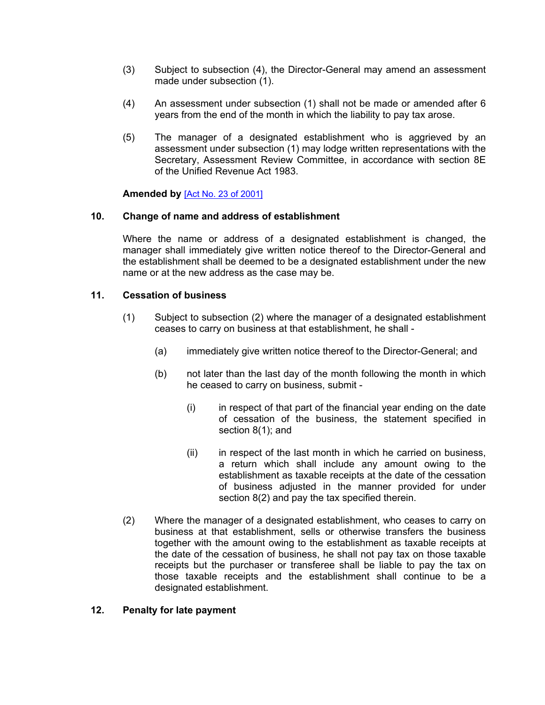- (3) Subject to subsection (4), the Director-General may amend an assessment made under subsection (1).
- (4) An assessment under subsection (1) shall not be made or amended after 6 years from the end of the month in which the liability to pay tax arose.
- (5) The manager of a designated establishment who is aggrieved by an assessment under subsection (1) may lodge written representations with the Secretary, Assessment Review Committee, in accordance with section 8E of the Unified Revenue Act 1983.

<span id="page-4-0"></span>**Amended by** [Act No. 23 of [2001\]](https://supremecourt.govmu.org/_layouts/CLIS.DMS/search/searchdocumentbykey.aspx?ID=%5BAct%20No.%2023%20of%202001%5D&list=Legislations)

#### **10. Change of name and address of establishment**

Where the name or address of a designated establishment is changed, the manager shall immediately give written notice thereof to the Director-General and the establishment shall be deemed to be a designated establishment under the new name or at the new address as the case may be.

## **11. Cessation of business**

- <span id="page-4-1"></span>(1) Subject to subsection (2) where the manager of a designated establishment ceases to carry on business at that establishment, he shall -
	- (a) immediately give written notice thereof to the Director-General; and
	- (b) not later than the last day of the month following the month in which he ceased to carry on business, submit -
		- (i) in respect of that part of the financial year ending on the date of cessation of the business, the statement specified in section 8(1); and
		- (ii) in respect of the last month in which he carried on business, a return which shall include any amount owing to the establishment as taxable receipts at the date of the cessation of business adjusted in the manner provided for under section 8(2) and pay the tax specified therein.
- (2) Where the manager of a designated establishment, who ceases to carry on business at that establishment, sells or otherwise transfers the business together with the amount owing to the establishment as taxable receipts at the date of the cessation of business, he shall not pay tax on those taxable receipts but the purchaser or transferee shall be liable to pay the tax on those taxable receipts and the establishment shall continue to be a designated establishment.

## <span id="page-4-2"></span>**12. Penalty for late payment**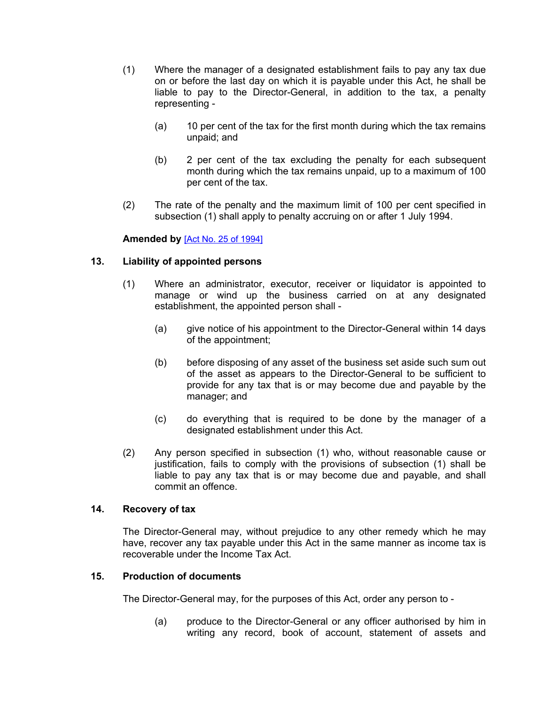- (1) Where the manager of a designated establishment fails to pay any tax due on or before the last day on which it is payable under this Act, he shall be liable to pay to the Director-General, in addition to the tax, a penalty representing -
	- (a) 10 per cent of the tax for the first month during which the tax remains unpaid; and
	- (b) 2 per cent of the tax excluding the penalty for each subsequent month during which the tax remains unpaid, up to a maximum of 100 per cent of the tax.
- (2) The rate of the penalty and the maximum limit of 100 per cent specified in subsection (1) shall apply to penalty accruing on or after 1 July 1994.

#### **Amended by** [Act No. 25 of [1994\]](https://supremecourt.govmu.org/_layouts/CLIS.DMS/search/searchdocumentbykey.aspx?ID=%5BAct%20No.%2025%20of%201994%5D&list=Legislations)

## **13. Liability of appointed persons**

- <span id="page-5-0"></span>(1) Where an administrator, executor, receiver or liquidator is appointed to manage or wind up the business carried on at any designated establishment, the appointed person shall -
	- (a) give notice of his appointment to the Director-General within 14 days of the appointment;
	- (b) before disposing of any asset of the business set aside such sum out of the asset as appears to the Director-General to be sufficient to provide for any tax that is or may become due and payable by the manager; and
	- (c) do everything that is required to be done by the manager of a designated establishment under this Act.
- (2) Any person specified in subsection (1) who, without reasonable cause or justification, fails to comply with the provisions of subsection (1) shall be liable to pay any tax that is or may become due and payable, and shall commit an offence.

## **14. Recovery of tax**

<span id="page-5-1"></span>The Director-General may, without prejudice to any other remedy which he may have, recover any tax payable under this Act in the same manner as income tax is recoverable under the Income Tax Act.

#### **15. Production of documents**

The Director-General may, for the purposes of this Act, order any person to -

<span id="page-5-2"></span>(a) produce to the Director-General or any officer authorised by him in writing any record, book of account, statement of assets and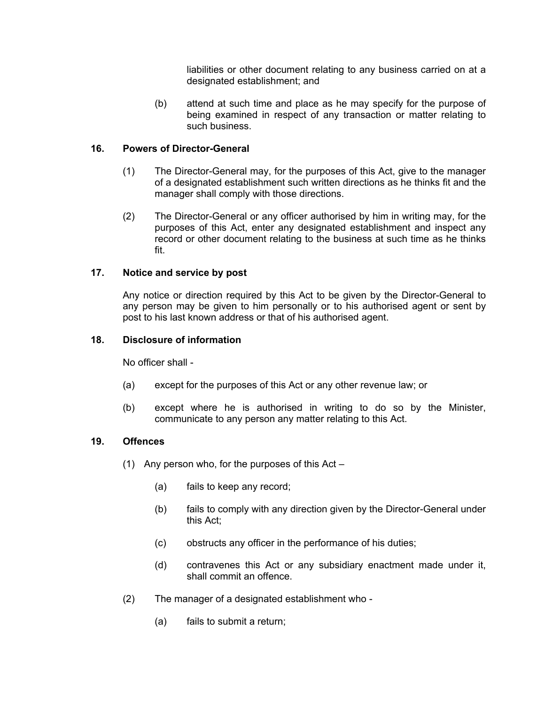liabilities or other document relating to any business carried on at a designated establishment; and

(b) attend at such time and place as he may specify for the purpose of being examined in respect of any transaction or matter relating to such business.

## **16. Powers of Director-General**

- (1) The Director-General may, for the purposes of this Act, give to the manager of a designated establishment such written directions as he thinks fit and the manager shall comply with those directions.
- (2) The Director-General or any officer authorised by him in writing may, for the purposes of this Act, enter any designated establishment and inspect any record or other document relating to the business at such time as he thinks fit.

#### **17. Notice and service by post**

<span id="page-6-0"></span>Any notice or direction required by this Act to be given by the Director-General to any person may be given to him personally or to his authorised agent or sent by post to his last known address or that of his authorised agent.

#### **18. Disclosure of information**

<span id="page-6-1"></span>No officer shall -

- (a) except for the purposes of this Act or any other revenue law; or
- (b) except where he is authorised in writing to do so by the Minister, communicate to any person any matter relating to this Act.

#### **19. Offences**

- (1) Any person who, for the purposes of this Act
	- (a) fails to keep any record;
	- (b) fails to comply with any direction given by the Director-General under this Act;
	- (c) obstructs any officer in the performance of his duties;
	- (d) contravenes this Act or any subsidiary enactment made under it, shall commit an offence.
- (2) The manager of a designated establishment who
	- (a) fails to submit a return;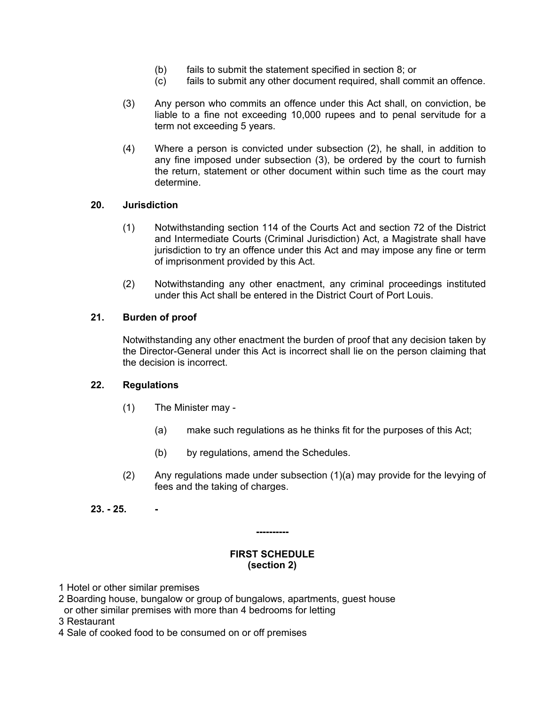- (b) fails to submit the statement specified in section 8; or
- (c) fails to submit any other document required, shall commit an offence.
- (3) Any person who commits an offence under this Act shall, on conviction, be liable to a fine not exceeding 10,000 rupees and to penal servitude for a term not exceeding 5 years.
- (4) Where a person is convicted under subsection (2), he shall, in addition to any fine imposed under subsection (3), be ordered by the court to furnish the return, statement or other document within such time as the court may determine.

#### **20. Jurisdiction**

- <span id="page-7-0"></span>(1) Notwithstanding section 114 of the Courts Act and section 72 of the District and Intermediate Courts (Criminal Jurisdiction) Act, a Magistrate shall have jurisdiction to try an offence under this Act and may impose any fine or term of imprisonment provided by this Act.
- (2) Notwithstanding any other enactment, any criminal proceedings instituted under this Act shall be entered in the District Court of Port Louis.

#### **21. Burden of proof**

<span id="page-7-1"></span>Notwithstanding any other enactment the burden of proof that any decision taken by the Director-General under this Act is incorrect shall lie on the person claiming that the decision is incorrect.

#### **22. Regulations**

- <span id="page-7-2"></span>(1) The Minister may -
	- (a) make such regulations as he thinks fit for the purposes of this Act;
	- (b) by regulations, amend the Schedules.
- (2) Any regulations made under subsection (1)(a) may provide for the levying of fees and the taking of charges.
- **23. - 25. -**

# **----------**

#### <span id="page-7-3"></span>**FIRST SCHEDULE (section 2)**

- 1 Hotel or other similar premises
- 2 Boarding house, bungalow or group of bungalows, apartments, guest house or other similar premises with more than 4 bedrooms for letting
- 3 Restaurant
- 4 Sale of cooked food to be consumed on or off premises